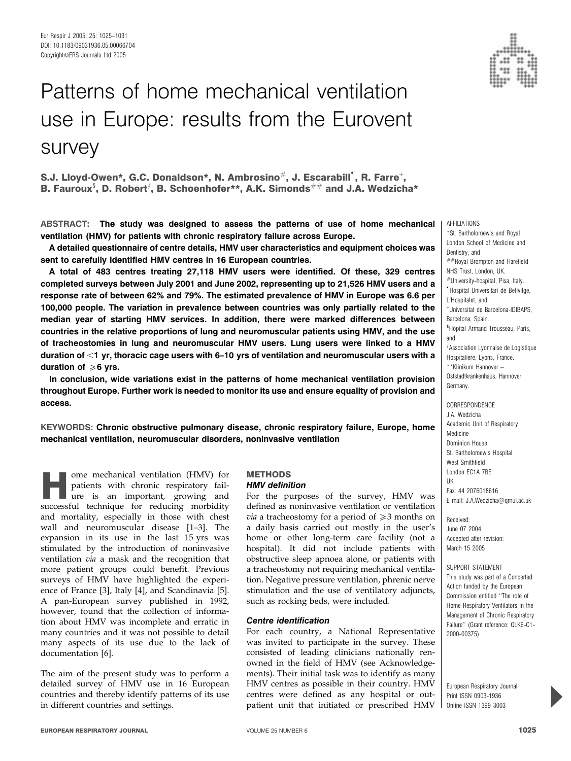# Patterns of home mechanical ventilation use in Europe: results from the Eurovent survey

S.J. Lloyd-Owen\*, G.C. Donaldson\*, N. Ambrosino $^{\#}$ , J. Escarabill<sup>1</sup>, R. Farre $^{\text{+}},$ B. Fauroux<sup>§</sup>, D. Robert<sup> $f$ </sup>, B. Schoenhofer\*\*, A.K. Simonds<sup>##</sup> and J.A. Wedzicha\*

ABSTRACT: The study was designed to assess the patterns of use of home mechanical ventilation (HMV) for patients with chronic respiratory failure across Europe.

A detailed questionnaire of centre details, HMV user characteristics and equipment choices was sent to carefully identified HMV centres in 16 European countries.

A total of 483 centres treating 27,118 HMV users were identified. Of these, 329 centres completed surveys between July 2001 and June 2002, representing up to 21,526 HMV users and a response rate of between 62% and 79%. The estimated prevalence of HMV in Europe was 6.6 per 100,000 people. The variation in prevalence between countries was only partially related to the median year of starting HMV services. In addition, there were marked differences between countries in the relative proportions of lung and neuromuscular patients using HMV, and the use of tracheostomies in lung and neuromuscular HMV users. Lung users were linked to a HMV duration of  $<$ 1 yr, thoracic cage users with 6–10 yrs of ventilation and neuromuscular users with a duration of  $\geqslant 6$  yrs.

In conclusion, wide variations exist in the patterns of home mechanical ventilation provision throughout Europe. Further work is needed to monitor its use and ensure equality of provision and access.

KEYWORDS: Chronic obstructive pulmonary disease, chronic respiratory failure, Europe, home mechanical ventilation, neuromuscular disorders, noninvasive ventilation

ome mechanical ventilation (HMV) for<br>
patients with chronic respiratory fail-<br>
ure is an important, growing and<br>
successful technique for reducing morbidity patients with chronic respiratory failsuccessful technique for reducing morbidity and mortality, especially in those with chest wall and neuromuscular disease [1–3]. The expansion in its use in the last 15 yrs was stimulated by the introduction of noninvasive ventilation via a mask and the recognition that more patient groups could benefit. Previous surveys of HMV have highlighted the experience of France [3], Italy [4], and Scandinavia [5]. A pan-European survey published in 1992, however, found that the collection of information about HMV was incomplete and erratic in many countries and it was not possible to detail many aspects of its use due to the lack of documentation [6].

The aim of the present study was to perform a detailed survey of HMV use in 16 European countries and thereby identify patterns of its use in different countries and settings.

# **METHODS** HMV definition

For the purposes of the survey, HMV was defined as noninvasive ventilation or ventilation *via* a tracheostomy for a period of  $\geq 3$  months on a daily basis carried out mostly in the user's home or other long-term care facility (not a hospital). It did not include patients with obstructive sleep apnoea alone, or patients with a tracheostomy not requiring mechanical ventilation. Negative pressure ventilation, phrenic nerve stimulation and the use of ventilatory adjuncts, such as rocking beds, were included.

# Centre identification

For each country, a National Representative was invited to participate in the survey. These consisted of leading clinicians nationally renowned in the field of HMV (see Acknowledgements). Their initial task was to identify as many HMV centres as possible in their country. HMV centres were defined as any hospital or outpatient unit that initiated or prescribed HMV



\*St. Bartholomew's and Royal London School of Medicine and Dentistry, and

AFFILIATIONS

##Royal Brompton and Harefield NHS Trust, London, UK. #University-hospital, Pisa, Italy. " Hospital Universitari de Bellvitge, L'Hospitalet, and + Universitat de Barcelona-IDIBAPS, Barcelona, Spain. <sup>s</sup>Hôpital Armand Trousseau, Paris, and  $\widehat{f}$ Association Lyonnaise de Logistique Hospitaliere, Lyons, France. \*\*Klinikum Hannover – Oststadtkrankenhaus, Hannover, Germany.

**CORRESPONDENCE** J.A. Wedzicha Academic Unit of Respiratory Medicine Dominion House St. Bartholomew's Hospital West Smithfield London EC1A 7BE UK Fax: 44 2076018616 E-mail: J.A.Wedzicha@qmul.ac.uk

Received: June 07 2004 Accepted after revision: March 15 2005

SUPPORT STATEMENT This study was part of a Concerted Action funded by the European Commission entitled ''The role of Home Respiratory Ventilators in the Management of Chronic Respiratory Failure'' (Grant reference: QLK6-C1- 2000-00375).

European Respiratory Journal Print ISSN 0903-1936 Online ISSN 1399-3003

P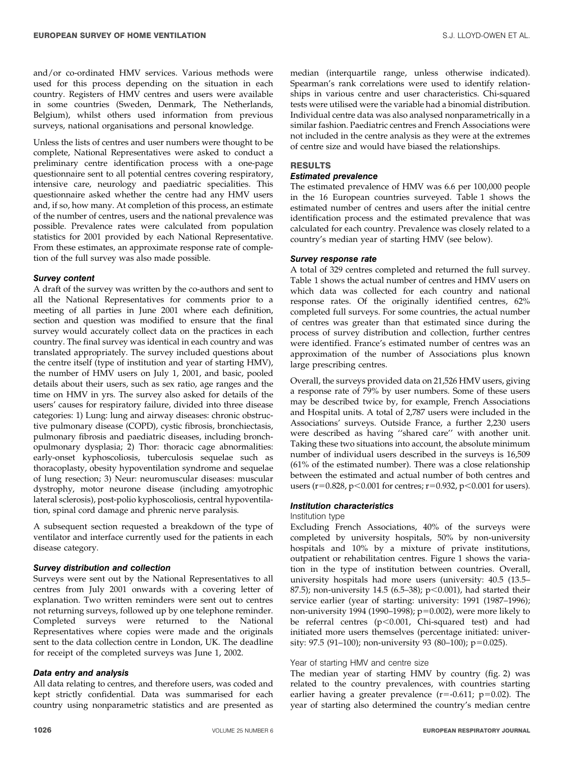and/or co-ordinated HMV services. Various methods were used for this process depending on the situation in each country. Registers of HMV centres and users were available in some countries (Sweden, Denmark, The Netherlands, Belgium), whilst others used information from previous surveys, national organisations and personal knowledge.

Unless the lists of centres and user numbers were thought to be complete, National Representatives were asked to conduct a preliminary centre identification process with a one-page questionnaire sent to all potential centres covering respiratory, intensive care, neurology and paediatric specialities. This questionnaire asked whether the centre had any HMV users and, if so, how many. At completion of this process, an estimate of the number of centres, users and the national prevalence was possible. Prevalence rates were calculated from population statistics for 2001 provided by each National Representative. From these estimates, an approximate response rate of completion of the full survey was also made possible.

### Survey content

A draft of the survey was written by the co-authors and sent to all the National Representatives for comments prior to a meeting of all parties in June 2001 where each definition, section and question was modified to ensure that the final survey would accurately collect data on the practices in each country. The final survey was identical in each country and was translated appropriately. The survey included questions about the centre itself (type of institution and year of starting HMV), the number of HMV users on July 1, 2001, and basic, pooled details about their users, such as sex ratio, age ranges and the time on HMV in yrs. The survey also asked for details of the users' causes for respiratory failure, divided into three disease categories: 1) Lung: lung and airway diseases: chronic obstructive pulmonary disease (COPD), cystic fibrosis, bronchiectasis, pulmonary fibrosis and paediatric diseases, including bronchopulmonary dysplasia; 2) Thor: thoracic cage abnormalities: early-onset kyphoscoliosis, tuberculosis sequelae such as thoracoplasty, obesity hypoventilation syndrome and sequelae of lung resection; 3) Neur: neuromuscular diseases: muscular dystrophy, motor neurone disease (including amyotrophic lateral sclerosis), post-polio kyphoscoliosis, central hypoventilation, spinal cord damage and phrenic nerve paralysis.

A subsequent section requested a breakdown of the type of ventilator and interface currently used for the patients in each disease category.

# Survey distribution and collection

Surveys were sent out by the National Representatives to all centres from July 2001 onwards with a covering letter of explanation. Two written reminders were sent out to centres not returning surveys, followed up by one telephone reminder. Completed surveys were returned to the National Representatives where copies were made and the originals sent to the data collection centre in London, UK. The deadline for receipt of the completed surveys was June 1, 2002.

# Data entry and analysis

All data relating to centres, and therefore users, was coded and kept strictly confidential. Data was summarised for each country using nonparametric statistics and are presented as

median (interquartile range, unless otherwise indicated). Spearman's rank correlations were used to identify relationships in various centre and user characteristics. Chi-squared tests were utilised were the variable had a binomial distribution. Individual centre data was also analysed nonparametrically in a similar fashion. Paediatric centres and French Associations were not included in the centre analysis as they were at the extremes of centre size and would have biased the relationships.

# **RESULTS**

### Estimated prevalence

The estimated prevalence of HMV was 6.6 per 100,000 people in the 16 European countries surveyed. Table 1 shows the estimated number of centres and users after the initial centre identification process and the estimated prevalence that was calculated for each country. Prevalence was closely related to a country's median year of starting HMV (see below).

# Survey response rate

A total of 329 centres completed and returned the full survey. Table 1 shows the actual number of centres and HMV users on which data was collected for each country and national response rates. Of the originally identified centres, 62% completed full surveys. For some countries, the actual number of centres was greater than that estimated since during the process of survey distribution and collection, further centres were identified. France's estimated number of centres was an approximation of the number of Associations plus known large prescribing centres.

Overall, the surveys provided data on 21,526 HMV users, giving a response rate of 79% by user numbers. Some of these users may be described twice by, for example, French Associations and Hospital units. A total of 2,787 users were included in the Associations' surveys. Outside France, a further 2,230 users were described as having ''shared care'' with another unit. Taking these two situations into account, the absolute minimum number of individual users described in the surveys is 16,509 (61% of the estimated number). There was a close relationship between the estimated and actual number of both centres and users (r=0.828, p<0.001 for centres; r=0.932, p<0.001 for users).

# Institution characteristics

### Institution type

Excluding French Associations, 40% of the surveys were completed by university hospitals, 50% by non-university hospitals and 10% by a mixture of private institutions, outpatient or rehabilitation centres. Figure 1 shows the variation in the type of institution between countries. Overall, university hospitals had more users (university: 40.5 (13.5– 87.5); non-university 14.5 (6.5–38);  $p<0.001$ ), had started their service earlier (year of starting: university: 1991 (1987–1996); non-university 1994 (1990–1998);  $p=0.002$ ), were more likely to be referral centres  $(p<0.001,$  Chi-squared test) and had initiated more users themselves (percentage initiated: university: 97.5 (91–100); non-university 93 (80–100); p=0.025).

# Year of starting HMV and centre size

The median year of starting HMV by country (fig. 2) was related to the country prevalences, with countries starting earlier having a greater prevalence  $(r=0.611; p=0.02)$ . The year of starting also determined the country's median centre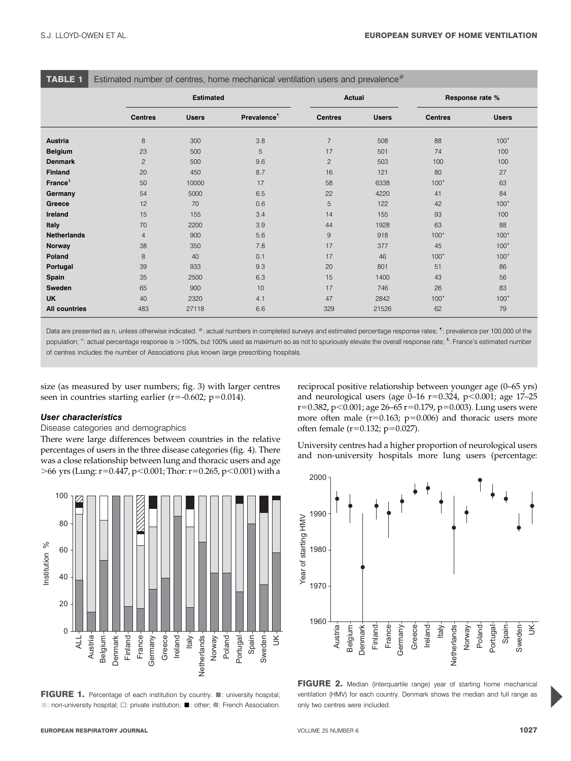TABLE 1 Estimated number of centres, home mechanical ventilation users and prevalence#

|                      | <b>Estimated</b> |              |                         | Actual         |              | Response rate % |              |
|----------------------|------------------|--------------|-------------------------|----------------|--------------|-----------------|--------------|
|                      | <b>Centres</b>   | <b>Users</b> | Prevalence <sup>1</sup> | <b>Centres</b> | <b>Users</b> | <b>Centres</b>  | <b>Users</b> |
| <b>Austria</b>       | 8                | 300          | 3.8                     | $\overline{7}$ | 508          | 88              | $100^{+}$    |
| <b>Belgium</b>       | 23               | 500          | 5                       | 17             | 501          | 74              | 100          |
| <b>Denmark</b>       | $\overline{c}$   | 500          | 9.6                     | $\overline{c}$ | 503          | 100             | 100          |
| <b>Finland</b>       | 20               | 450          | 8.7                     | 16             | 121          | 80              | 27           |
| France <sup>§</sup>  | 50               | 10000        | 17                      | 58             | 6338         | $100^{+}$       | 63           |
| Germany              | 54               | 5000         | 6.5                     | 22             | 4220         | 41              | 84           |
| Greece               | 12               | 70           | 0.6                     | 5              | 122          | 42              | $100^{+}$    |
| Ireland              | 15               | 155          | 3.4                     | 14             | 155          | 93              | 100          |
| <b>Italy</b>         | 70               | 2200         | 3.9                     | 44             | 1928         | 63              | 88           |
| <b>Netherlands</b>   | $\overline{4}$   | 900          | 5.6                     | 9              | 918          | $100^{+}$       | $100^{+}$    |
| Norway               | 38               | 350          | 7.8                     | 17             | 377          | 45              | $100^{+}$    |
| Poland               | 8                | 40           | 0.1                     | 17             | 46           | $100^{+}$       | $100^{+}$    |
| Portugal             | 39               | 933          | 9.3                     | 20             | 801          | 51              | 86           |
| Spain                | 35               | 2500         | 6.3                     | 15             | 1400         | 43              | 56           |
| Sweden               | 65               | 900          | 10                      | 17             | 746          | 26              | 83           |
| <b>UK</b>            | 40               | 2320         | 4.1                     | 47             | 2842         | $100^{+}$       | $100^{+}$    |
| <b>All countries</b> | 483              | 27118        | 6.6                     | 329            | 21526        | 62              | 79           |

Data are presented as n, unless otherwise indicated. #: actual numbers in completed surveys and estimated percentage response rates; " : prevalence per 100,000 of the population; <sup>+</sup>: actual percentage response is >100%, but 100% used as maximum so as not to spuriously elevate the overall response rate; <sup>s</sup>: France's estimated number of centres includes the number of Associations plus known large prescribing hospitals.

size (as measured by user numbers; fig. 3) with larger centres seen in countries starting earlier ( $r=-0.602$ ;  $p=0.014$ ).

# User characteristics

### Disease categories and demographics

There were large differences between countries in the relative percentages of users in the three disease categories (fig. 4). There was a close relationship between lung and thoracic users and age  $>66$  yrs (Lung: r=0.447, p<0.001; Thor: r=0.265, p<0.001) with a



FIGURE 1. Percentage of each institution by country.  $\blacksquare$ : university hospital; ■: non-university hospital;  $\Box$ : private institution; ■: other; **Ø: French Association.**  reciprocal positive relationship between younger age (0–65 yrs) and neurological users (age  $0-16$  r=0.324, p<0.001; age 17–25 r=0.382, p<0.001; age 26–65 r=0.179, p=0.003). Lung users were more often male  $(r=0.163; p=0.006)$  and thoracic users more often female ( $r=0.132$ ;  $p=0.027$ ).

University centres had a higher proportion of neurological users and non-university hospitals more lung users (percentage:



FIGURE 2. Median (interquartile range) year of starting home mechanical ventilation (HMV) for each country. Denmark shows the median and full range as only two centres were included.

P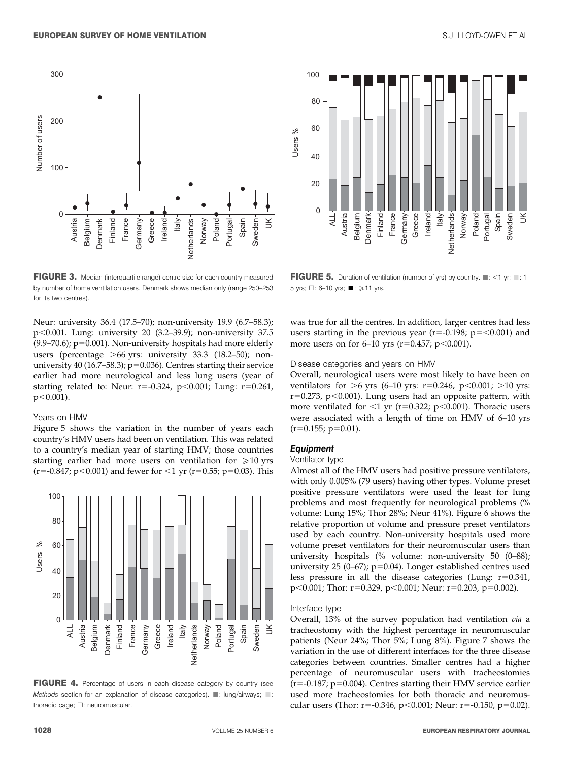

FIGURE 3. Median (interquartile range) centre size for each country measured by number of home ventilation users. Denmark shows median only (range 250–253 for its two centres).

Neur: university 36.4 (17.5–70); non-university 19.9 (6.7–58.3); p,0.001. Lung: university 20 (3.2–39.9); non-university 37.5  $(9.9–70.6)$ ;  $p=0.001$ ). Non-university hospitals had more elderly users (percentage  $>66$  yrs: university 33.3 (18.2–50); nonuniversity 40 (16.7–58.3);  $p=0.036$ ). Centres starting their service earlier had more neurological and less lung users (year of starting related to: Neur:  $r=-0.324$ ,  $p<0.001$ ; Lung:  $r=0.261$ ,  $p<0.001$ ).

### Years on HMV

Figure 5 shows the variation in the number of years each country's HMV users had been on ventilation. This was related to a country's median year of starting HMV; those countries starting earlier had more users on ventilation for  $\geq 10$  yrs  $(r=-0.847; p<0.001)$  and fewer for  $\leq 1$  yr (r=0.55; p=0.03). This



FIGURE 4. Percentage of users in each disease category by country (see Methods section for an explanation of disease categories).  $\blacksquare$ : lung/airways;  $\blacksquare$ : thoracic cage;  $\square$ : neuromuscular.



FIGURE 5. Duration of ventilation (number of yrs) by country.  $\blacksquare$ : <1 yr;  $\blacksquare$ : 1– 5 yrs;  $\Box$ : 6–10 yrs;  $\blacksquare$ :  $\ge$  11 yrs.

was true for all the centres. In addition, larger centres had less users starting in the previous year ( $r=-0.198$ ;  $p=<0.001$ ) and more users on for 6–10 yrs ( $r=0.457$ ;  $p<0.001$ ).

### Disease categories and years on HMV

Overall, neurological users were most likely to have been on ventilators for  $>6$  yrs (6–10 yrs: r=0.246, p<0.001;  $>10$  yrs:  $r=0.273$ , p $<0.001$ ). Lung users had an opposite pattern, with more ventilated for  $\leq 1$  yr (r=0.322; p $\leq$ 0.001). Thoracic users were associated with a length of time on HMV of 6–10 yrs  $(r=0.155; p=0.01)$ .

# Equipment

# Ventilator type

Almost all of the HMV users had positive pressure ventilators, with only 0.005% (79 users) having other types. Volume preset positive pressure ventilators were used the least for lung problems and most frequently for neurological problems (% volume: Lung 15%; Thor 28%; Neur 41%). Figure 6 shows the relative proportion of volume and pressure preset ventilators used by each country. Non-university hospitals used more volume preset ventilators for their neuromuscular users than university hospitals (% volume: non-university 50 (0–88); university 25 (0-67);  $p=0.04$ ). Longer established centres used less pressure in all the disease categories (Lung:  $r=0.341$ , p<0.001; Thor: r=0.329, p<0.001; Neur: r=0.203, p=0.002).

### Interface type

Overall, 13% of the survey population had ventilation via a tracheostomy with the highest percentage in neuromuscular patients (Neur 24%; Thor 5%; Lung 8%). Figure 7 shows the variation in the use of different interfaces for the three disease categories between countries. Smaller centres had a higher percentage of neuromuscular users with tracheostomies  $(r=-0.187; p=0.004)$ . Centres starting their HMV service earlier used more tracheostomies for both thoracic and neuromuscular users (Thor: r=-0.346, p<0.001; Neur: r=-0.150, p=0.02).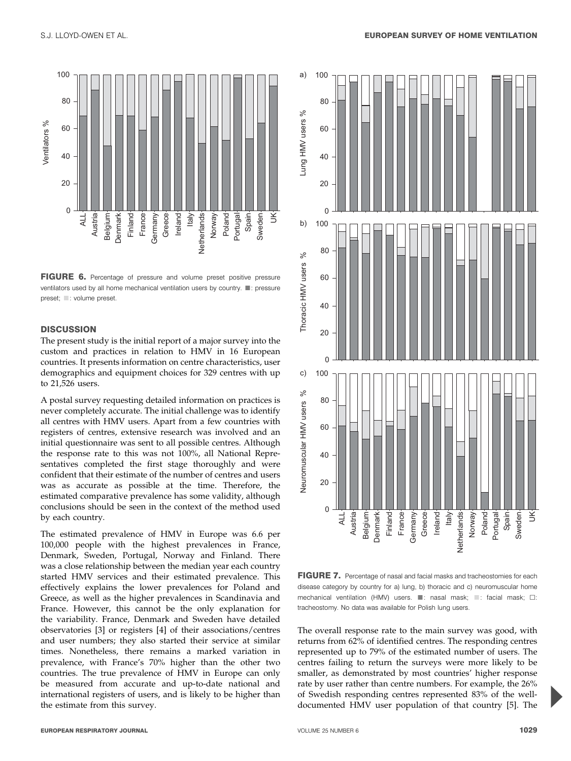

FIGURE 6. Percentage of pressure and volume preset positive pressure ventilators used by all home mechanical ventilation users by country.  $\blacksquare$ : pressure preset;  $\Box$ : volume preset.

# **DISCUSSION**

The present study is the initial report of a major survey into the custom and practices in relation to HMV in 16 European countries. It presents information on centre characteristics, user demographics and equipment choices for 329 centres with up to 21,526 users.

A postal survey requesting detailed information on practices is never completely accurate. The initial challenge was to identify all centres with HMV users. Apart from a few countries with registers of centres, extensive research was involved and an initial questionnaire was sent to all possible centres. Although the response rate to this was not 100%, all National Representatives completed the first stage thoroughly and were confident that their estimate of the number of centres and users was as accurate as possible at the time. Therefore, the estimated comparative prevalence has some validity, although conclusions should be seen in the context of the method used by each country.

The estimated prevalence of HMV in Europe was 6.6 per 100,000 people with the highest prevalences in France, Denmark, Sweden, Portugal, Norway and Finland. There was a close relationship between the median year each country started HMV services and their estimated prevalence. This effectively explains the lower prevalences for Poland and Greece, as well as the higher prevalences in Scandinavia and France. However, this cannot be the only explanation for the variability. France, Denmark and Sweden have detailed observatories [3] or registers [4] of their associations/centres and user numbers; they also started their service at similar times. Nonetheless, there remains a marked variation in prevalence, with France's 70% higher than the other two countries. The true prevalence of HMV in Europe can only be measured from accurate and up-to-date national and international registers of users, and is likely to be higher than the estimate from this survey.



FIGURE 7. Percentage of nasal and facial masks and tracheostomies for each disease category by country for a) lung, b) thoracic and c) neuromuscular home mechanical ventilation (HMV) users.  $\Box$ : nasal mask;  $\Box$ : facial mask;  $\Box$ : tracheostomy. No data was available for Polish lung users.

The overall response rate to the main survey was good, with returns from 62% of identified centres. The responding centres represented up to 79% of the estimated number of users. The centres failing to return the surveys were more likely to be smaller, as demonstrated by most countries' higher response rate by user rather than centre numbers. For example, the 26% of Swedish responding centres represented 83% of the welldocumented HMV user population of that country [5]. The

P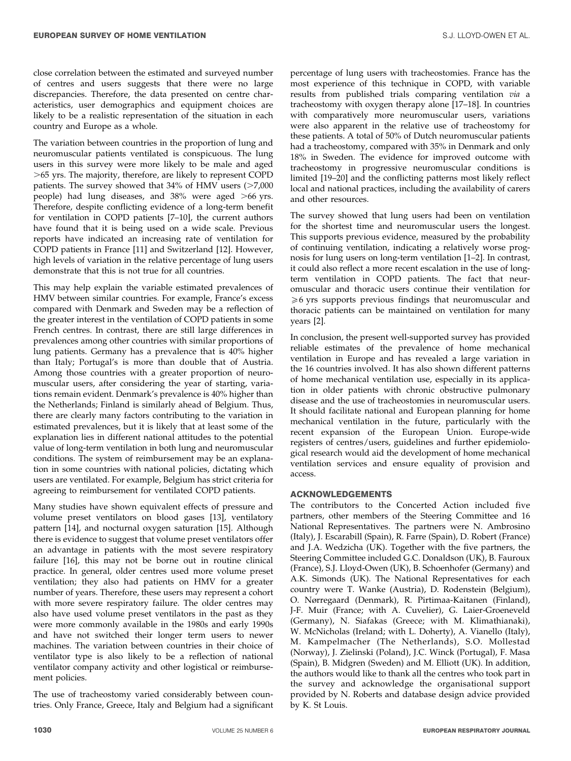close correlation between the estimated and surveyed number of centres and users suggests that there were no large discrepancies. Therefore, the data presented on centre characteristics, user demographics and equipment choices are likely to be a realistic representation of the situation in each country and Europe as a whole.

The variation between countries in the proportion of lung and neuromuscular patients ventilated is conspicuous. The lung users in this survey were more likely to be male and aged .65 yrs. The majority, therefore, are likely to represent COPD patients. The survey showed that  $34\%$  of HMV users ( $>7,000$ people) had lung diseases, and  $38\%$  were aged  $>66$  yrs. Therefore, despite conflicting evidence of a long-term benefit for ventilation in COPD patients [7–10], the current authors have found that it is being used on a wide scale. Previous reports have indicated an increasing rate of ventilation for COPD patients in France [11] and Switzerland [12]. However, high levels of variation in the relative percentage of lung users demonstrate that this is not true for all countries.

This may help explain the variable estimated prevalences of HMV between similar countries. For example, France's excess compared with Denmark and Sweden may be a reflection of the greater interest in the ventilation of COPD patients in some French centres. In contrast, there are still large differences in prevalences among other countries with similar proportions of lung patients. Germany has a prevalence that is 40% higher than Italy; Portugal's is more than double that of Austria. Among those countries with a greater proportion of neuromuscular users, after considering the year of starting, variations remain evident. Denmark's prevalence is 40% higher than the Netherlands; Finland is similarly ahead of Belgium. Thus, there are clearly many factors contributing to the variation in estimated prevalences, but it is likely that at least some of the explanation lies in different national attitudes to the potential value of long-term ventilation in both lung and neuromuscular conditions. The system of reimbursement may be an explanation in some countries with national policies, dictating which users are ventilated. For example, Belgium has strict criteria for agreeing to reimbursement for ventilated COPD patients.

Many studies have shown equivalent effects of pressure and volume preset ventilators on blood gases [13], ventilatory pattern [14], and nocturnal oxygen saturation [15]. Although there is evidence to suggest that volume preset ventilators offer an advantage in patients with the most severe respiratory failure [16], this may not be borne out in routine clinical practice. In general, older centres used more volume preset ventilation; they also had patients on HMV for a greater number of years. Therefore, these users may represent a cohort with more severe respiratory failure. The older centres may also have used volume preset ventilators in the past as they were more commonly available in the 1980s and early 1990s and have not switched their longer term users to newer machines. The variation between countries in their choice of ventilator type is also likely to be a reflection of national ventilator company activity and other logistical or reimbursement policies.

The use of tracheostomy varied considerably between countries. Only France, Greece, Italy and Belgium had a significant percentage of lung users with tracheostomies. France has the most experience of this technique in COPD, with variable results from published trials comparing ventilation via a tracheostomy with oxygen therapy alone [17–18]. In countries with comparatively more neuromuscular users, variations were also apparent in the relative use of tracheostomy for these patients. A total of 50% of Dutch neuromuscular patients had a tracheostomy, compared with 35% in Denmark and only 18% in Sweden. The evidence for improved outcome with tracheostomy in progressive neuromuscular conditions is limited [19–20] and the conflicting patterns most likely reflect local and national practices, including the availability of carers and other resources.

The survey showed that lung users had been on ventilation for the shortest time and neuromuscular users the longest. This supports previous evidence, measured by the probability of continuing ventilation, indicating a relatively worse prognosis for lung users on long-term ventilation [1–2]. In contrast, it could also reflect a more recent escalation in the use of longterm ventilation in COPD patients. The fact that neuromuscular and thoracic users continue their ventilation for  $\geq 6$  yrs supports previous findings that neuromuscular and thoracic patients can be maintained on ventilation for many years [2].

In conclusion, the present well-supported survey has provided reliable estimates of the prevalence of home mechanical ventilation in Europe and has revealed a large variation in the 16 countries involved. It has also shown different patterns of home mechanical ventilation use, especially in its application in older patients with chronic obstructive pulmonary disease and the use of tracheostomies in neuromuscular users. It should facilitate national and European planning for home mechanical ventilation in the future, particularly with the recent expansion of the European Union. Europe-wide registers of centres/users, guidelines and further epidemiological research would aid the development of home mechanical ventilation services and ensure equality of provision and access.

# ACKNOWLEDGEMENTS

The contributors to the Concerted Action included five partners, other members of the Steering Committee and 16 National Representatives. The partners were N. Ambrosino (Italy), J. Escarabill (Spain), R. Farre (Spain), D. Robert (France) and J.A. Wedzicha (UK). Together with the five partners, the Steering Committee included G.C. Donaldson (UK), B. Fauroux (France), S.J. Lloyd-Owen (UK), B. Schoenhofer (Germany) and A.K. Simonds (UK). The National Representatives for each country were T. Wanke (Austria), D. Rodenstein (Belgium), O. Nørregaard (Denmark), R. Pirtimaa-Kaitanen (Finland), J-F. Muir (France; with A. Cuvelier), G. Laier-Groeneveld (Germany), N. Siafakas (Greece; with M. Klimathianaki), W. McNicholas (Ireland; with L. Doherty), A. Vianello (Italy), M. Kampelmacher (The Netherlands), S.O. Mollestad (Norway), J. Zielinski (Poland), J.C. Winck (Portugal), F. Masa (Spain), B. Midgren (Sweden) and M. Elliott (UK). In addition, the authors would like to thank all the centres who took part in the survey and acknowledge the organisational support provided by N. Roberts and database design advice provided by K. St Louis.